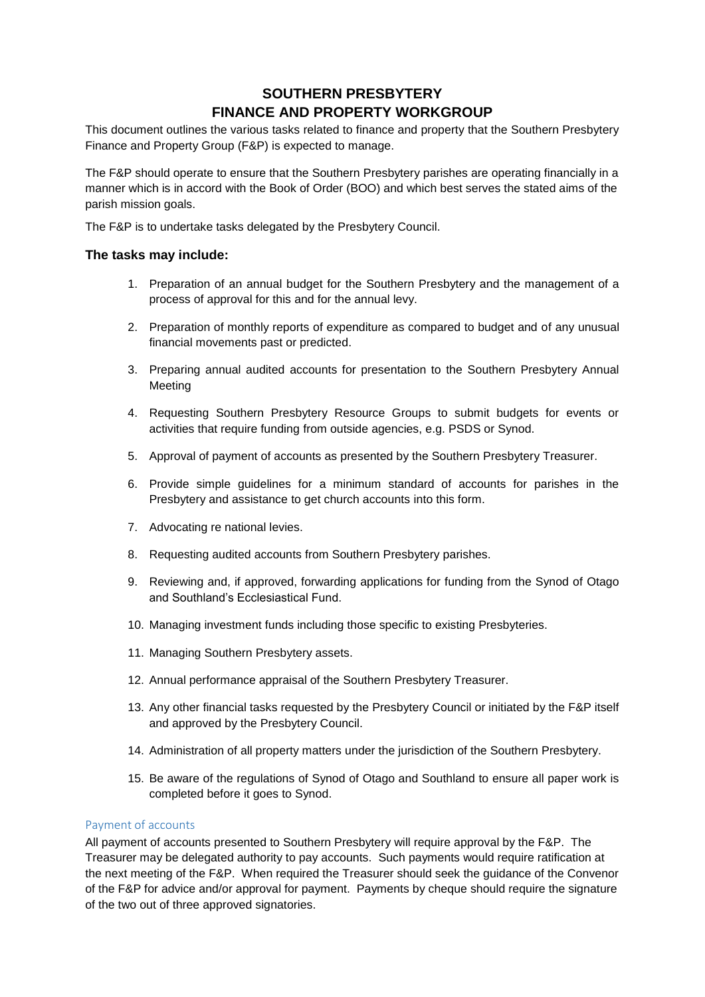# **SOUTHERN PRESBYTERY FINANCE AND PROPERTY WORKGROUP**

This document outlines the various tasks related to finance and property that the Southern Presbytery Finance and Property Group (F&P) is expected to manage.

The F&P should operate to ensure that the Southern Presbytery parishes are operating financially in a manner which is in accord with the Book of Order (BOO) and which best serves the stated aims of the parish mission goals.

The F&P is to undertake tasks delegated by the Presbytery Council.

#### **The tasks may include:**

- 1. Preparation of an annual budget for the Southern Presbytery and the management of a process of approval for this and for the annual levy.
- 2. Preparation of monthly reports of expenditure as compared to budget and of any unusual financial movements past or predicted.
- 3. Preparing annual audited accounts for presentation to the Southern Presbytery Annual Meeting
- 4. Requesting Southern Presbytery Resource Groups to submit budgets for events or activities that require funding from outside agencies, e.g. PSDS or Synod.
- 5. Approval of payment of accounts as presented by the Southern Presbytery Treasurer.
- 6. Provide simple guidelines for a minimum standard of accounts for parishes in the Presbytery and assistance to get church accounts into this form.
- 7. Advocating re national levies.
- 8. Requesting audited accounts from Southern Presbytery parishes.
- 9. Reviewing and, if approved, forwarding applications for funding from the Synod of Otago and Southland's Ecclesiastical Fund.
- 10. Managing investment funds including those specific to existing Presbyteries.
- 11. Managing Southern Presbytery assets.
- 12. Annual performance appraisal of the Southern Presbytery Treasurer.
- 13. Any other financial tasks requested by the Presbytery Council or initiated by the F&P itself and approved by the Presbytery Council.
- 14. Administration of all property matters under the jurisdiction of the Southern Presbytery.
- 15. Be aware of the regulations of Synod of Otago and Southland to ensure all paper work is completed before it goes to Synod.

#### Payment of accounts

All payment of accounts presented to Southern Presbytery will require approval by the F&P. The Treasurer may be delegated authority to pay accounts. Such payments would require ratification at the next meeting of the F&P. When required the Treasurer should seek the guidance of the Convenor of the F&P for advice and/or approval for payment. Payments by cheque should require the signature of the two out of three approved signatories.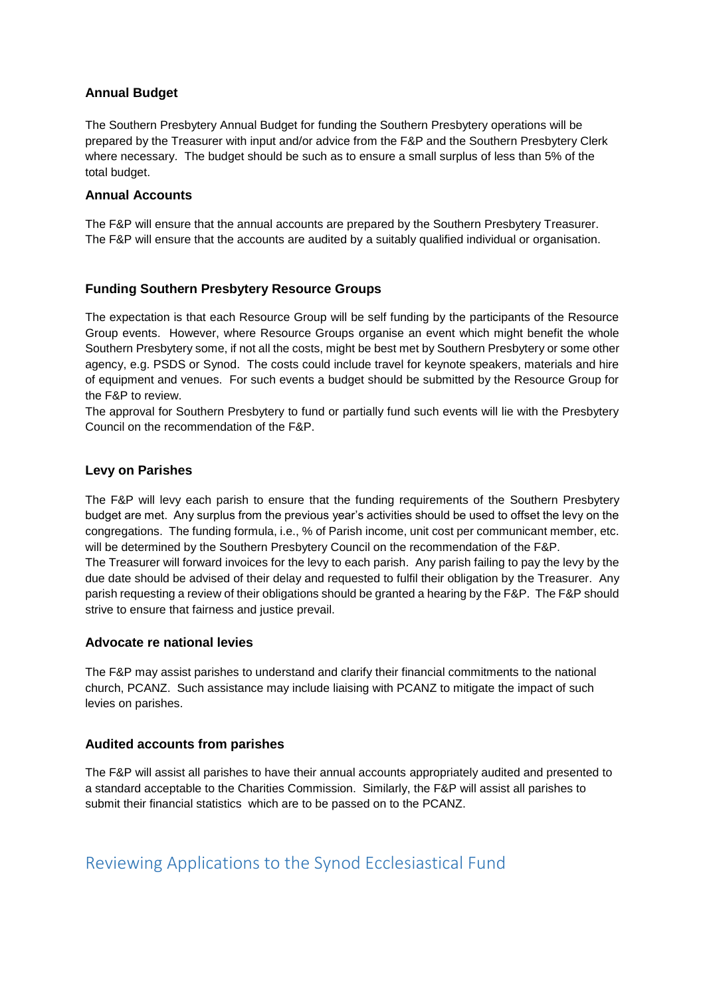## **Annual Budget**

The Southern Presbytery Annual Budget for funding the Southern Presbytery operations will be prepared by the Treasurer with input and/or advice from the F&P and the Southern Presbytery Clerk where necessary. The budget should be such as to ensure a small surplus of less than 5% of the total budget.

#### **Annual Accounts**

The F&P will ensure that the annual accounts are prepared by the Southern Presbytery Treasurer. The F&P will ensure that the accounts are audited by a suitably qualified individual or organisation.

## **Funding Southern Presbytery Resource Groups**

The expectation is that each Resource Group will be self funding by the participants of the Resource Group events. However, where Resource Groups organise an event which might benefit the whole Southern Presbytery some, if not all the costs, might be best met by Southern Presbytery or some other agency, e.g. PSDS or Synod. The costs could include travel for keynote speakers, materials and hire of equipment and venues. For such events a budget should be submitted by the Resource Group for the F&P to review.

The approval for Southern Presbytery to fund or partially fund such events will lie with the Presbytery Council on the recommendation of the F&P.

#### **Levy on Parishes**

The F&P will levy each parish to ensure that the funding requirements of the Southern Presbytery budget are met. Any surplus from the previous year's activities should be used to offset the levy on the congregations. The funding formula, i.e., % of Parish income, unit cost per communicant member, etc. will be determined by the Southern Presbytery Council on the recommendation of the F&P. The Treasurer will forward invoices for the levy to each parish. Any parish failing to pay the levy by the due date should be advised of their delay and requested to fulfil their obligation by the Treasurer. Any parish requesting a review of their obligations should be granted a hearing by the F&P. The F&P should strive to ensure that fairness and justice prevail.

#### **Advocate re national levies**

The F&P may assist parishes to understand and clarify their financial commitments to the national church, PCANZ. Such assistance may include liaising with PCANZ to mitigate the impact of such levies on parishes.

#### **Audited accounts from parishes**

The F&P will assist all parishes to have their annual accounts appropriately audited and presented to a standard acceptable to the Charities Commission. Similarly, the F&P will assist all parishes to submit their financial statistics which are to be passed on to the PCANZ.

# Reviewing Applications to the Synod Ecclesiastical Fund